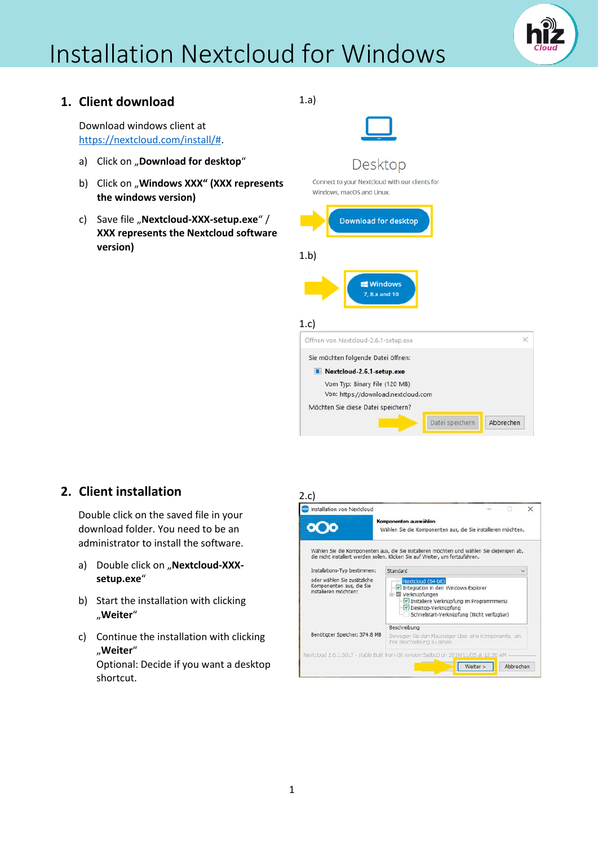

 $\times$ 

Abbrechen

### **1. Client download**

Download windows client at [https://nextcloud.com/install/#.](https://nextcloud.com/install/)

- a) Click on "**Download for desktop**"
- b) Click on "**Windows XXX" (XXX represents the windows version)**
- c) Save file "**Nextcloud-XXX-setup.exe**" / **XXX represents the Nextcloud software version)**

1.a)



### **2. Client installation**

Double click on the saved file in your download folder. You need to be an administrator to install the software.

- a) Double click on "Nextcloud-XXX**setup.exe**"
- b) Start the installation with clicking "**Weiter**"
- c) Continue the installation with clicking "**Weiter**" Optional: Decide if you want a desktop shortcut.

#### 2.c)



Datei speichern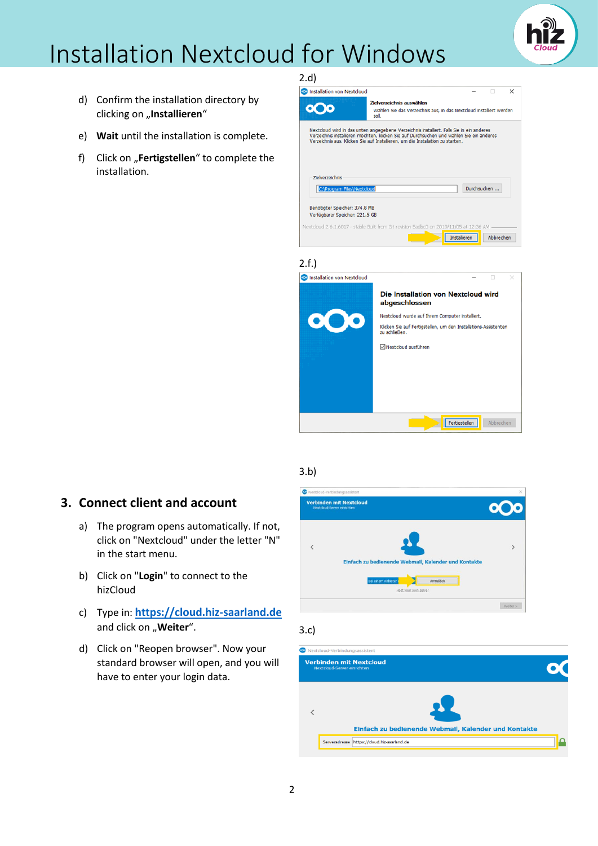- d) Confirm the installation directory by clicking on "Installieren"
- e) **Wait** until the installation is complete.
- f) Click on "**Fertigstellen**" to complete the installation.



### 3.b)

### **3. Connect client and account**

- a) The program opens automatically. If not, click on "Nextcloud" under the letter "N" in the start menu.
- b) Click on "**Login**" to connect to the hizCloud
- c) Type in: **[https://cloud.hiz-saarland.de](https://cloud.hiz-saarland.de/)** and click on "**Weiter**".
- d) Click on "Reopen browser". Now your standard browser will open, and you will have to enter your login data.



#### 3.c)

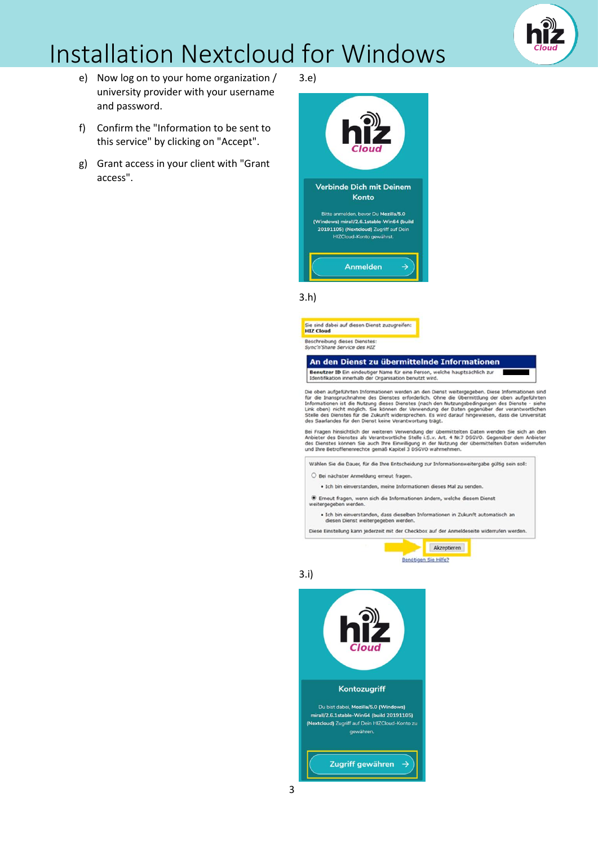

- e) Now log on to your home organization / university provider with your username and password.
- f) Confirm the "Information to be sent to this service" by clicking on "Accept".
- g) Grant access in your client with "Grant access".

3.e)



#### 3.h)



Bei Fragen hinsichtlich der weiteren Verwendung der übermittelten Daten wenden Sie sich an den<br>Anbieter des Dienstes als Verantwortliche Stelle i.S.v. Art. 4 Nr.7 DSGVO. Gegenüber dem Anbieter<br>des Dienstes können Sie auch

Wählen Sie die Dauer, für die Ihre Entscheidung zur Informationsweitergabe gültig sein soll:

O Bei nächster Anmeldung erneut fragen.

· Ich bin einverstanden, meine Informationen dieses Mal zu senden.

 $\circledast$  Erneut fragen, wenn sich die Informationen ändern, welche diesem Dienst weitergegeben werden.

· Ich bin einverstanden, dass dieselben Informationen in Zukunft automatisch an diesen Dienst weitergegeben werder

Diese Einstellung kann jederzeit mit der Checkbox auf der Anmeldeseite widerrufen werden.



#### 3.i)